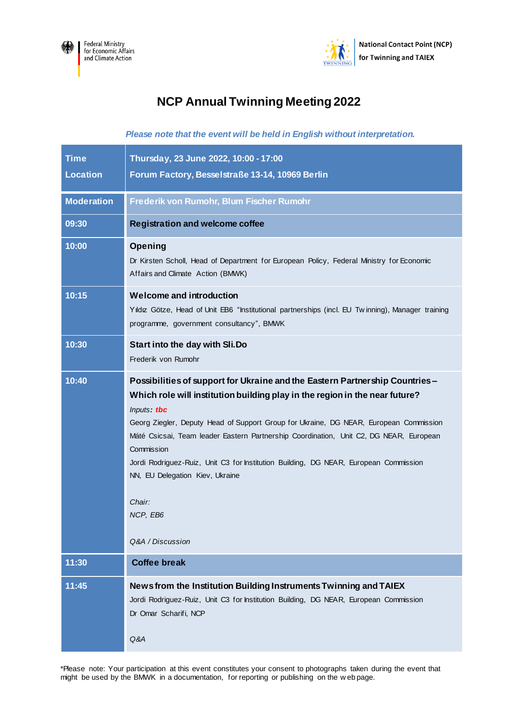



## **NCP Annual Twinning Meeting 2022**

*Please note that the event will be held in English without interpretation.*

| <b>Time</b><br><b>Location</b> | Thursday, 23 June 2022, 10:00 - 17:00<br>Forum Factory, Besselstraße 13-14, 10969 Berlin                                                                                                                                                                                                                                                                                                                                                                                                                                                       |
|--------------------------------|------------------------------------------------------------------------------------------------------------------------------------------------------------------------------------------------------------------------------------------------------------------------------------------------------------------------------------------------------------------------------------------------------------------------------------------------------------------------------------------------------------------------------------------------|
| <b>Moderation</b>              | Frederik von Rumohr, Blum Fischer Rumohr                                                                                                                                                                                                                                                                                                                                                                                                                                                                                                       |
| 09:30                          | <b>Registration and welcome coffee</b>                                                                                                                                                                                                                                                                                                                                                                                                                                                                                                         |
| 10:00                          | Opening<br>Dr Kirsten Scholl, Head of Department for European Policy, Federal Ministry for Economic<br>Affairs and Climate Action (BMWK)                                                                                                                                                                                                                                                                                                                                                                                                       |
| 10:15                          | <b>Welcome and introduction</b><br>Yıldız Götze, Head of Unit EB6 "Institutional partnerships (incl. EU Twinning), Manager training<br>programme, government consultancy", BMWK                                                                                                                                                                                                                                                                                                                                                                |
| 10:30                          | Start into the day with Sli.Do<br>Frederik von Rumohr                                                                                                                                                                                                                                                                                                                                                                                                                                                                                          |
| 10:40                          | Possibilities of support for Ukraine and the Eastern Partnership Countries-<br>Which role will institution building play in the region in the near future?<br>Inputs tbc<br>Georg Ziegler, Deputy Head of Support Group for Ukraine, DG NEAR, European Commission<br>Máté Csicsai, Team leader Eastern Partnership Coordination, Unit C2, DG NEAR, European<br>Commission<br>Jordi Rodriguez-Ruiz, Unit C3 for Institution Building, DG NEAR, European Commission<br>NN, EU Delegation Kiev, Ukraine<br>Chair:<br>NCP, EB6<br>Q&A / Discussion |
| 11:30                          | <b>Coffee break</b>                                                                                                                                                                                                                                                                                                                                                                                                                                                                                                                            |
| 11:45                          | News from the Institution Building Instruments Twinning and TAIEX<br>Jordi Rodriguez-Ruiz, Unit C3 for Institution Building, DG NEAR, European Commission<br>Dr Omar Scharifi, NCP<br>Q&A                                                                                                                                                                                                                                                                                                                                                      |

\*Please note: Your participation at this event constitutes your consent to photographs taken during the event that might be used by the BMWK in a documentation, for reporting or publishing on the w eb page.